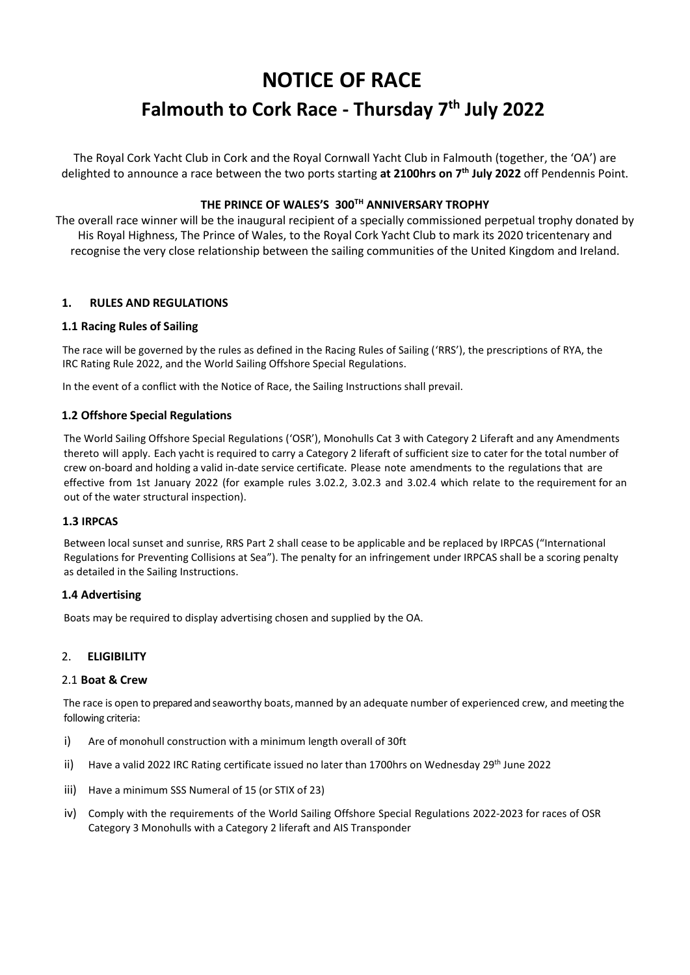# **NOTICE OF RACE**

# **Falmouth to Cork Race - Thursday 7 th July 2022**

The Royal Cork Yacht Club in Cork and the Royal Cornwall Yacht Club in Falmouth (together, the 'OA') are delighted to announce a race between the two ports starting **at 2100hrs on 7th July 2022** off Pendennis Point.

# **THE PRINCE OF WALES'S 300TH ANNIVERSARY TROPHY**

The overall race winner will be the inaugural recipient of a specially commissioned perpetual trophy donated by His Royal Highness, The Prince of Wales, to the Royal Cork Yacht Club to mark its 2020 tricentenary and recognise the very close relationship between the sailing communities of the United Kingdom and Ireland.

# **1. RULES AND REGULATIONS**

## **1.1 Racing Rules of Sailing**

The race will be governed by the rules as defined in the Racing Rules of Sailing ('RRS'), the prescriptions of RYA, the IRC Rating Rule 2022, and the World Sailing Offshore Special Regulations.

In the event of a conflict with the Notice of Race, the Sailing Instructions shall prevail.

## **1.2 Offshore Special Regulations**

The World Sailing Offshore Special Regulations ('OSR'), Monohulls Cat 3 with Category 2 Liferaft and any Amendments thereto will apply. Each yacht is required to carry a Category 2 liferaft of sufficient size to cater for the total number of crew on-board and holding a valid in-date service certificate. Please note amendments to the regulations that are effective from 1st January 2022 (for example rules 3.02.2, 3.02.3 and 3.02.4 which relate to the requirement for an out of the water structural inspection).

## **1.3 IRPCAS**

Between local sunset and sunrise, RRS Part 2 shall cease to be applicable and be replaced by IRPCAS ("International Regulations for Preventing Collisions at Sea"). The penalty for an infringement under IRPCAS shall be a scoring penalty as detailed in the Sailing Instructions.

## **1.4 Advertising**

Boats may be required to display advertising chosen and supplied by the OA.

## 2. **ELIGIBILITY**

## 2.1 **Boat & Crew**

The race is open to prepared and seaworthy boats, manned by an adequate number of experienced crew, and meeting the following criteria:

- i) Are of monohull construction with a minimum length overall of 30ft
- ii) Have a valid 2022 IRC Rating certificate issued no later than 1700hrs on Wednesday 29<sup>th</sup> June 2022
- iii) Have a minimum SSS Numeral of 15 (or STIX of 23)
- iv) Comply with the requirements of the World Sailing Offshore Special Regulations 2022-2023 for races of OSR Category 3 Monohulls with a Category 2 liferaft and AIS Transponder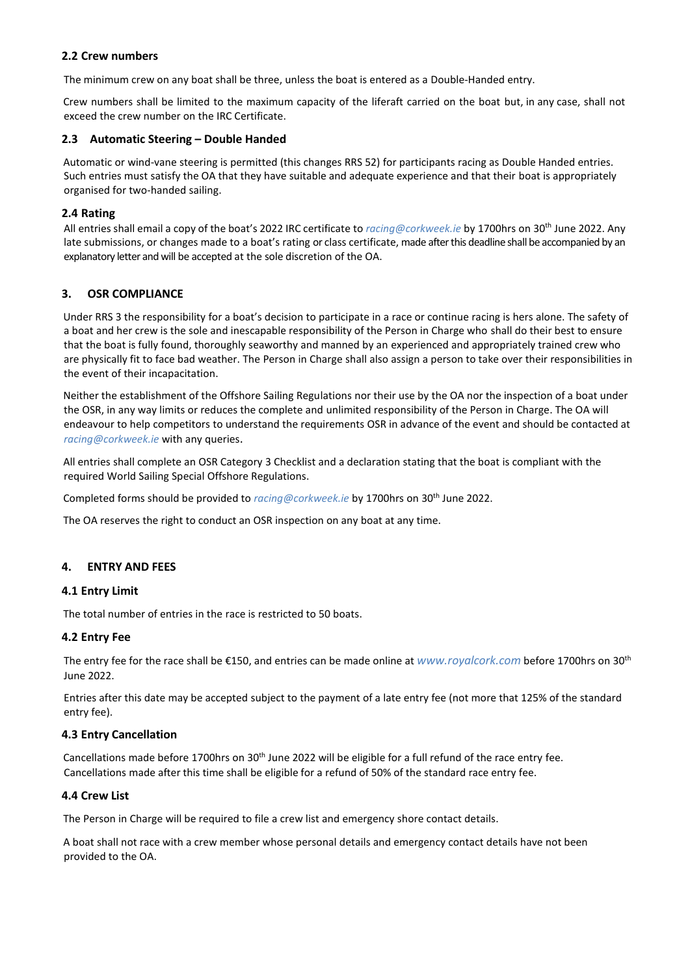## **2.2 Crew numbers**

The minimum crew on any boat shall be three, unless the boat is entered as a Double-Handed entry.

Crew numbers shall be limited to the maximum capacity of the liferaft carried on the boat but, in any case, shall not exceed the crew number on the IRC Certificate.

## **2.3 Automatic Steering – Double Handed**

Automatic or wind-vane steering is permitted (this changes RRS 52) for participants racing as Double Handed entries. Such entries must satisfy the OA that they have suitable and adequate experience and that their boat is appropriately organised for two-handed sailing.

## **2.4 Rating**

All entries shall email a copy of the boat's 2022 IRC certificate to *[racing@corkweek.ie](mailto:racing@corkweek.ie)* by 1700hrs on 30th June 2022. Any late submissions, or changes made to a boat's rating or class certificate, made after this deadline shall be accompanied by an explanatory letter and will be accepted at the sole discretion of the OA.

# **3. OSR COMPLIANCE**

Under RRS 3 the responsibility for a boat's decision to participate in a race or continue racing is hers alone. The safety of a boat and her crew is the sole and inescapable responsibility of the Person in Charge who shall do their best to ensure that the boat is fully found, thoroughly seaworthy and manned by an experienced and appropriately trained crew who are physically fit to face bad weather. The Person in Charge shall also assign a person to take over their responsibilities in the event of their incapacitation.

Neither the establishment of the Offshore Sailing Regulations nor their use by the OA nor the inspection of a boat under the OSR, in any way limits or reduces the complete and unlimited responsibility of the Person in Charge. The OA will endeavour to help competitors to understand the requirements OSR in advance of the event and should be contacted at *[racing@corkweek.ie](mailto:racing@corkweek.ie)* with any queries.

All entries shall complete an OSR Category 3 Checklist and a declaration stating that the boat is compliant with the required World Sailing Special Offshore Regulations.

Completed forms should be provided to *[racing@corkweek.ie](mailto:racing@corkweek.ie)* by 1700hrs on 30th June 2022.

The OA reserves the right to conduct an OSR inspection on any boat at any time.

## **4. ENTRY AND FEES**

#### **4.1 Entry Limit**

The total number of entries in the race is restricted to 50 boats.

#### **4.2 Entry Fee**

The entry fee for the race shall be €150, and entries can be made online at *[www.royalcork.com](http://www.royalcork.com/)* before 1700hrs on 30th June 2022.

Entries after this date may be accepted subject to the payment of a late entry fee (not more that 125% of the standard entry fee).

#### **4.3 Entry Cancellation**

Cancellations made before 1700hrs on 30<sup>th</sup> June 2022 will be eligible for a full refund of the race entry fee. Cancellations made after this time shall be eligible for a refund of 50% of the standard race entry fee.

#### **4.4 Crew List**

The Person in Charge will be required to file a crew list and emergency shore contact details.

A boat shall not race with a crew member whose personal details and emergency contact details have not been provided to the OA.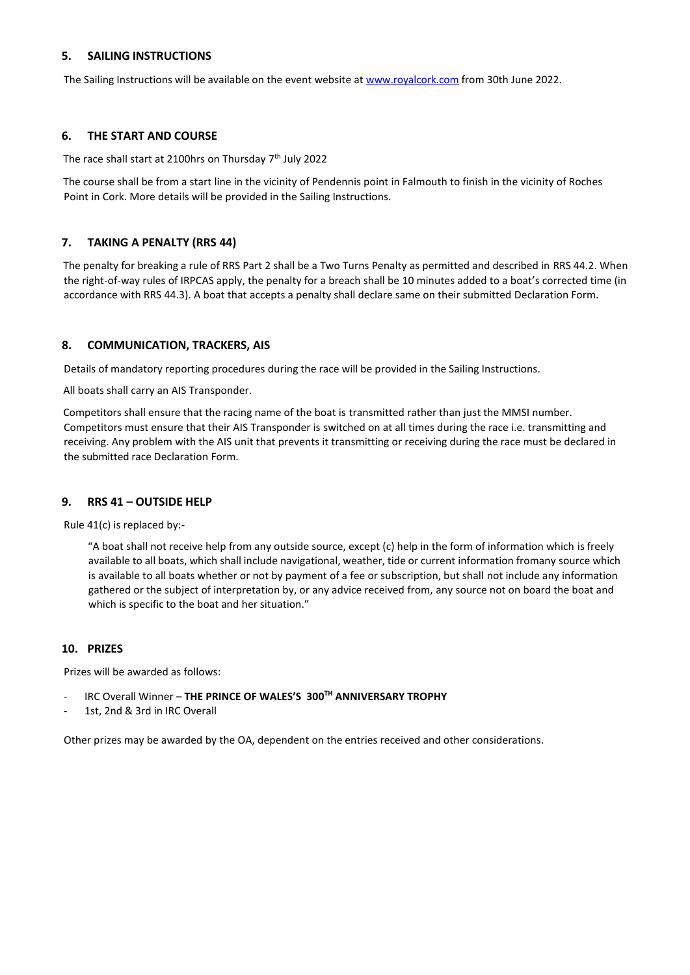## **5. SAILING INSTRUCTIONS**

The Sailing Instructions will be available on the event website at [www.royalcork.com](http://www.royalcork.com/) from 30th June 2022.

#### **6. THE START AND COURSE**

The race shall start at 2100hrs on Thursday 7<sup>th</sup> July 2022

The course shall be from a start line in the vicinity of Pendennis point in Falmouth to finish in the vicinity of Roches Point in Cork. More details will be provided in the Sailing Instructions.

#### **7. TAKING A PENALTY (RRS 44)**

The penalty for breaking a rule of RRS Part 2 shall be a Two Turns Penalty as permitted and described in RRS 44.2. When the right-of-way rules of IRPCAS apply, the penalty for a breach shall be 10 minutes added to a boat's corrected time (in accordance with RRS 44.3). A boat that accepts a penalty shall declare same on their submitted Declaration Form.

#### **8. COMMUNICATION, TRACKERS, AIS**

Details of mandatory reporting procedures during the race will be provided in the Sailing Instructions.

All boats shall carry an AIS Transponder.

Competitors shall ensure that the racing name of the boat is transmitted rather than just the MMSI number. Competitors must ensure that their AIS Transponder is switched on at all times during the race i.e. transmitting and receiving. Any problem with the AIS unit that prevents it transmitting or receiving during the race must be declared in the submitted race Declaration Form.

#### **9. RRS 41 – OUTSIDE HELP**

Rule 41(c) is replaced by:-

"A boat shall not receive help from any outside source, except (c) help in the form of information which is freely available to all boats, which shall include navigational, weather, tide or current information fromany source which is available to all boats whether or not by payment of a fee or subscription, but shall not include any information gathered or the subject of interpretation by, or any advice received from, any source not on board the boat and which is specific to the boat and her situation."

#### **10. PRIZES**

Prizes will be awarded as follows:

- IRC Overall Winner **THE PRINCE OF WALES'S 300TH ANNIVERSARY TROPHY**
- 1st, 2nd & 3rd in IRC Overall

Other prizes may be awarded by the OA, dependent on the entries received and other considerations.